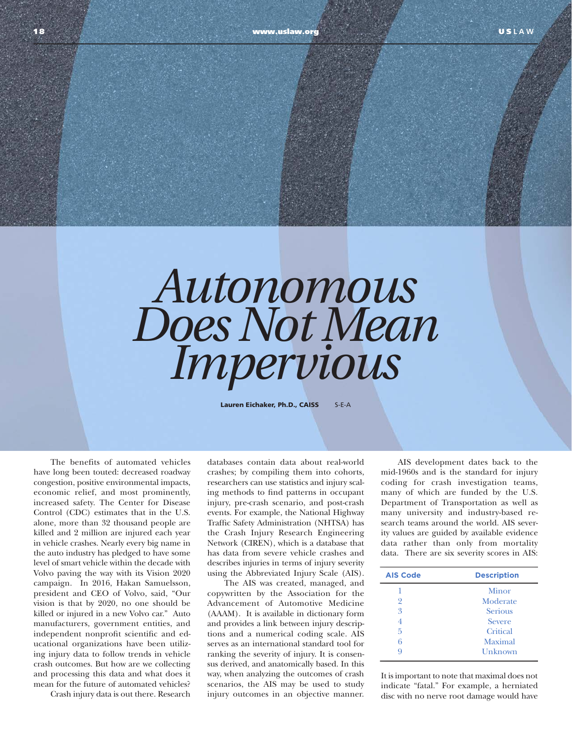## *Autonomous Does Not Mean Impervious*

Lauren Eichaker, Ph.D., CAISS S-E-A

The benefits of automated vehicles have long been touted: decreased roadway congestion, positive environmental impacts, economic relief, and most prominently, increased safety. The Center for Disease Control (CDC) estimates that in the U.S. alone, more than 32 thousand people are killed and 2 million are injured each year in vehicle crashes. Nearly every big name in the auto industry has pledged to have some level of smart vehicle within the decade with Volvo paving the way with its Vision 2020 campaign. In 2016, Hakan Samuelsson, president and CEO of Volvo, said, "Our vision is that by 2020, no one should be killed or injured in a new Volvo car." Auto manufacturers, government entities, and independent nonprofit scientific and educational organizations have been utilizing injury data to follow trends in vehicle crash outcomes. But how are we collecting and processing this data and what does it mean for the future of automated vehicles?

Crash injury data is out there. Research

databases contain data about real-world crashes; by compiling them into cohorts, researchers can use statistics and injury scaling methods to find patterns in occupant injury, pre-crash scenario, and post-crash events. For example, the National Highway Traffic Safety Administration (NHTSA) has the Crash Injury Research Engineering Network (CIREN), which is a database that has data from severe vehicle crashes and describes injuries in terms of injury severity using the Abbreviated Injury Scale (AIS).

 The AIS was created, managed, and copywritten by the Association for the Advancement of Automotive Medicine (AAAM). It is available in dictionary form and provides a link between injury descriptions and a numerical coding scale. AIS serves as an international standard tool for ranking the severity of injury. It is consensus derived, and anatomically based. In this way, when analyzing the outcomes of crash scenarios, the AIS may be used to study injury outcomes in an objective manner.

AIS development dates back to the mid-1960s and is the standard for injury coding for crash investigation teams, many of which are funded by the U.S. Department of Transportation as well as many university and industry-based research teams around the world. AIS severity values are guided by available evidence data rather than only from mortality data. There are six severity scores in AIS:

| <b>AIS Code</b> | <b>Description</b> |
|-----------------|--------------------|
| 1               | Minor              |
| 2               | Moderate           |
| 3               | <b>Serious</b>     |
| 4               | <b>Severe</b>      |
| 5               | Critical           |
| 6               | Maximal            |
| q               | Unknown            |

It is important to note that maximal does not indicate "fatal." For example, a herniated disc with no nerve root damage would have